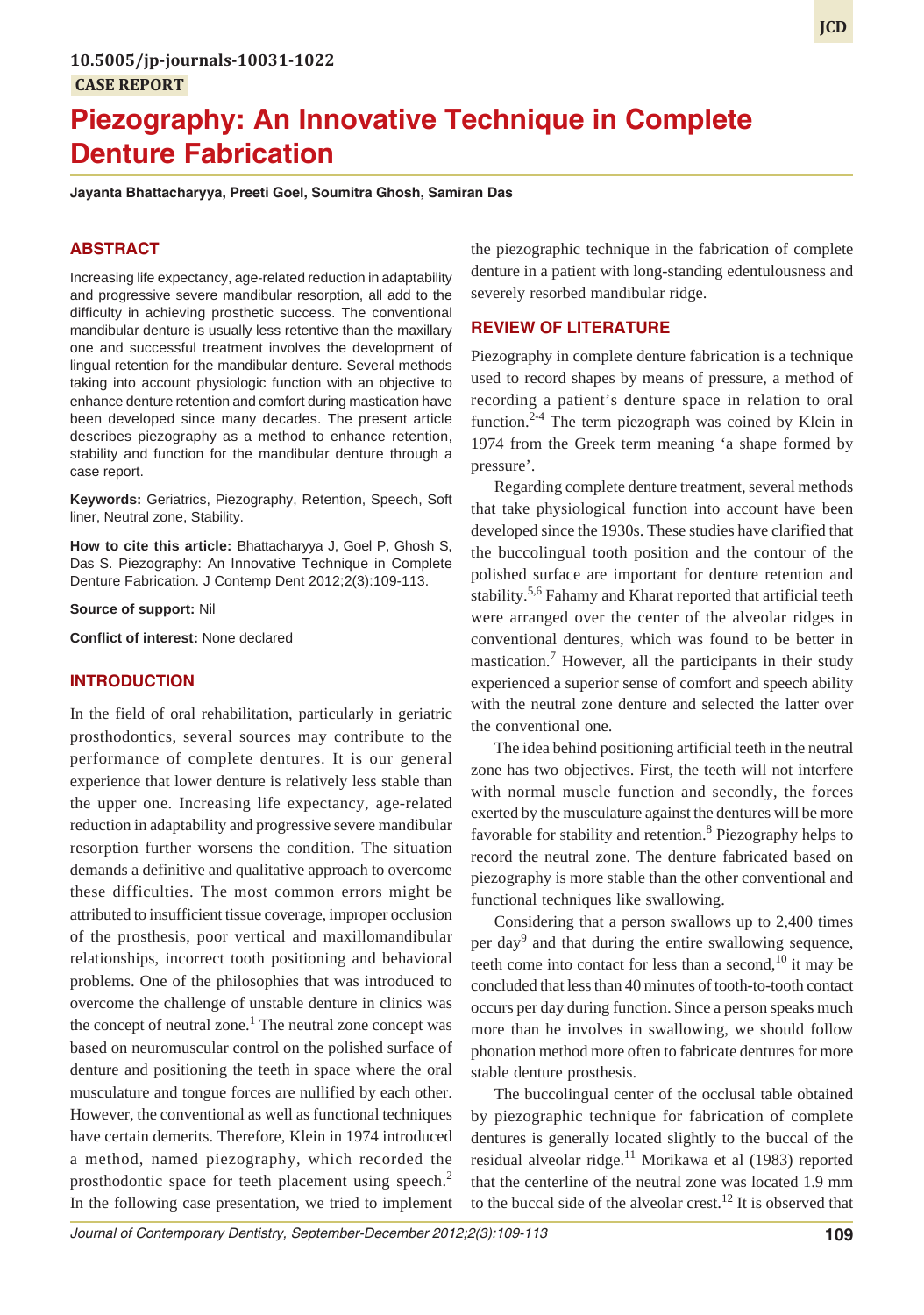# **Piezography: An Innovative Technique in Complete Denture Fabrication**

**Jayanta Bhattacharyya, Preeti Goel, Soumitra Ghosh, Samiran Das**

## **ABSTRACT**

Increasing life expectancy, age-related reduction in adaptability and progressive severe mandibular resorption, all add to the difficulty in achieving prosthetic success. The conventional mandibular denture is usually less retentive than the maxillary one and successful treatment involves the development of lingual retention for the mandibular denture. Several methods taking into account physiologic function with an objective to enhance denture retention and comfort during mastication have been developed since many decades. The present article describes piezography as a method to enhance retention, stability and function for the mandibular denture through a case report.

**Keywords:** Geriatrics, Piezography, Retention, Speech, Soft liner, Neutral zone, Stability.

**How to cite this article:** Bhattacharyya J, Goel P, Ghosh S, Das S. Piezography: An Innovative Technique in Complete Denture Fabrication. J Contemp Dent 2012;2(3):109-113.

**Source of support:** Nil

**Conflict of interest:** None declared

#### **INTRODUCTION**

In the field of oral rehabilitation, particularly in geriatric prosthodontics, several sources may contribute to the performance of complete dentures. It is our general experience that lower denture is relatively less stable than the upper one. Increasing life expectancy, age-related reduction in adaptability and progressive severe mandibular resorption further worsens the condition. The situation demands a definitive and qualitative approach to overcome these difficulties. The most common errors might be attributed to insufficient tissue coverage, improper occlusion of the prosthesis, poor vertical and maxillomandibular relationships, incorrect tooth positioning and behavioral problems. One of the philosophies that was introduced to overcome the challenge of unstable denture in clinics was the concept of neutral zone.<sup>1</sup> The neutral zone concept was based on neuromuscular control on the polished surface of denture and positioning the teeth in space where the oral musculature and tongue forces are nullified by each other. However, the conventional as well as functional techniques have certain demerits. Therefore, Klein in 1974 introduced a method, named piezography, which recorded the prosthodontic space for teeth placement using speech.<sup>2</sup> In the following case presentation, we tried to implement

the piezographic technique in the fabrication of complete denture in a patient with long-standing edentulousness and severely resorbed mandibular ridge.

## **REVIEW OF LITERATURE**

Piezography in complete denture fabrication is a technique used to record shapes by means of pressure, a method of recording a patient's denture space in relation to oral function.<sup>2-4</sup> The term piezograph was coined by Klein in 1974 from the Greek term meaning 'a shape formed by pressure'.

Regarding complete denture treatment, several methods that take physiological function into account have been developed since the 1930s. These studies have clarified that the buccolingual tooth position and the contour of the polished surface are important for denture retention and stability.<sup>5,6</sup> Fahamy and Kharat reported that artificial teeth were arranged over the center of the alveolar ridges in conventional dentures, which was found to be better in mastication.<sup>7</sup> However, all the participants in their study experienced a superior sense of comfort and speech ability with the neutral zone denture and selected the latter over the conventional one.

The idea behind positioning artificial teeth in the neutral zone has two objectives. First, the teeth will not interfere with normal muscle function and secondly, the forces exerted by the musculature against the dentures will be more favorable for stability and retention.<sup>8</sup> Piezography helps to record the neutral zone. The denture fabricated based on piezography is more stable than the other conventional and functional techniques like swallowing.

Considering that a person swallows up to 2,400 times per day<sup>9</sup> and that during the entire swallowing sequence, teeth come into contact for less than a second,  $10$  it may be concluded that less than 40 minutes of tooth-to-tooth contact occurs per day during function. Since a person speaks much more than he involves in swallowing, we should follow phonation method more often to fabricate dentures for more stable denture prosthesis.

The buccolingual center of the occlusal table obtained by piezographic technique for fabrication of complete dentures is generally located slightly to the buccal of the residual alveolar ridge.<sup>11</sup> Morikawa et al (1983) reported that the centerline of the neutral zone was located 1.9 mm to the buccal side of the alveolar crest.<sup>12</sup> It is observed that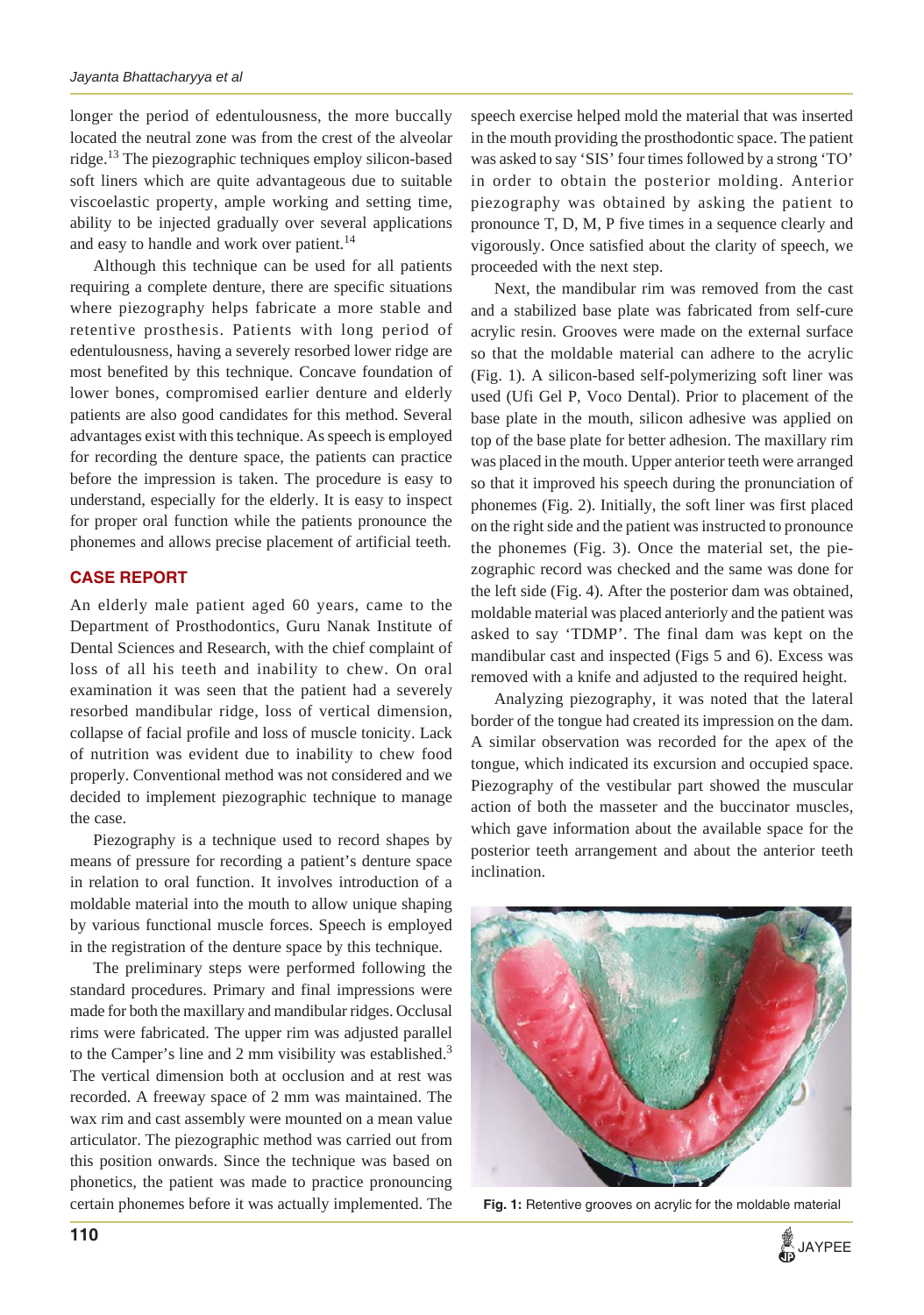longer the period of edentulousness, the more buccally located the neutral zone was from the crest of the alveolar ridge.13 The piezographic techniques employ silicon-based soft liners which are quite advantageous due to suitable viscoelastic property, ample working and setting time, ability to be injected gradually over several applications and easy to handle and work over patient.<sup>14</sup>

Although this technique can be used for all patients requiring a complete denture, there are specific situations where piezography helps fabricate a more stable and retentive prosthesis. Patients with long period of edentulousness, having a severely resorbed lower ridge are most benefited by this technique. Concave foundation of lower bones, compromised earlier denture and elderly patients are also good candidates for this method. Several advantages exist with this technique. As speech is employed for recording the denture space, the patients can practice before the impression is taken. The procedure is easy to understand, especially for the elderly. It is easy to inspect for proper oral function while the patients pronounce the phonemes and allows precise placement of artificial teeth.

# **CASE REPORT**

An elderly male patient aged 60 years, came to the Department of Prosthodontics, Guru Nanak Institute of Dental Sciences and Research, with the chief complaint of loss of all his teeth and inability to chew. On oral examination it was seen that the patient had a severely resorbed mandibular ridge, loss of vertical dimension, collapse of facial profile and loss of muscle tonicity. Lack of nutrition was evident due to inability to chew food properly. Conventional method was not considered and we decided to implement piezographic technique to manage the case.

Piezography is a technique used to record shapes by means of pressure for recording a patient's denture space in relation to oral function. It involves introduction of a moldable material into the mouth to allow unique shaping by various functional muscle forces. Speech is employed in the registration of the denture space by this technique.

The preliminary steps were performed following the standard procedures. Primary and final impressions were made for both the maxillary and mandibular ridges. Occlusal rims were fabricated. The upper rim was adjusted parallel to the Camper's line and 2 mm visibility was established. $3$ The vertical dimension both at occlusion and at rest was recorded. A freeway space of 2 mm was maintained. The wax rim and cast assembly were mounted on a mean value articulator. The piezographic method was carried out from this position onwards. Since the technique was based on phonetics, the patient was made to practice pronouncing certain phonemes before it was actually implemented. The

speech exercise helped mold the material that was inserted in the mouth providing the prosthodontic space. The patient was asked to say 'SIS' four times followed by a strong 'TO' in order to obtain the posterior molding. Anterior piezography was obtained by asking the patient to pronounce T, D, M, P five times in a sequence clearly and vigorously. Once satisfied about the clarity of speech, we proceeded with the next step.

Next, the mandibular rim was removed from the cast and a stabilized base plate was fabricated from self-cure acrylic resin. Grooves were made on the external surface so that the moldable material can adhere to the acrylic (Fig. 1). A silicon-based self-polymerizing soft liner was used (Ufi Gel P, Voco Dental). Prior to placement of the base plate in the mouth, silicon adhesive was applied on top of the base plate for better adhesion. The maxillary rim was placed in the mouth. Upper anterior teeth were arranged so that it improved his speech during the pronunciation of phonemes (Fig. 2). Initially, the soft liner was first placed on the right side and the patient was instructed to pronounce the phonemes (Fig. 3). Once the material set, the piezographic record was checked and the same was done for the left side (Fig. 4). After the posterior dam was obtained, moldable material was placed anteriorly and the patient was asked to say 'TDMP'. The final dam was kept on the mandibular cast and inspected (Figs 5 and 6). Excess was removed with a knife and adjusted to the required height.

Analyzing piezography, it was noted that the lateral border of the tongue had created its impression on the dam. A similar observation was recorded for the apex of the tongue, which indicated its excursion and occupied space. Piezography of the vestibular part showed the muscular action of both the masseter and the buccinator muscles, which gave information about the available space for the posterior teeth arrangement and about the anterior teeth inclination.



**Fig. 1:** Retentive grooves on acrylic for the moldable material

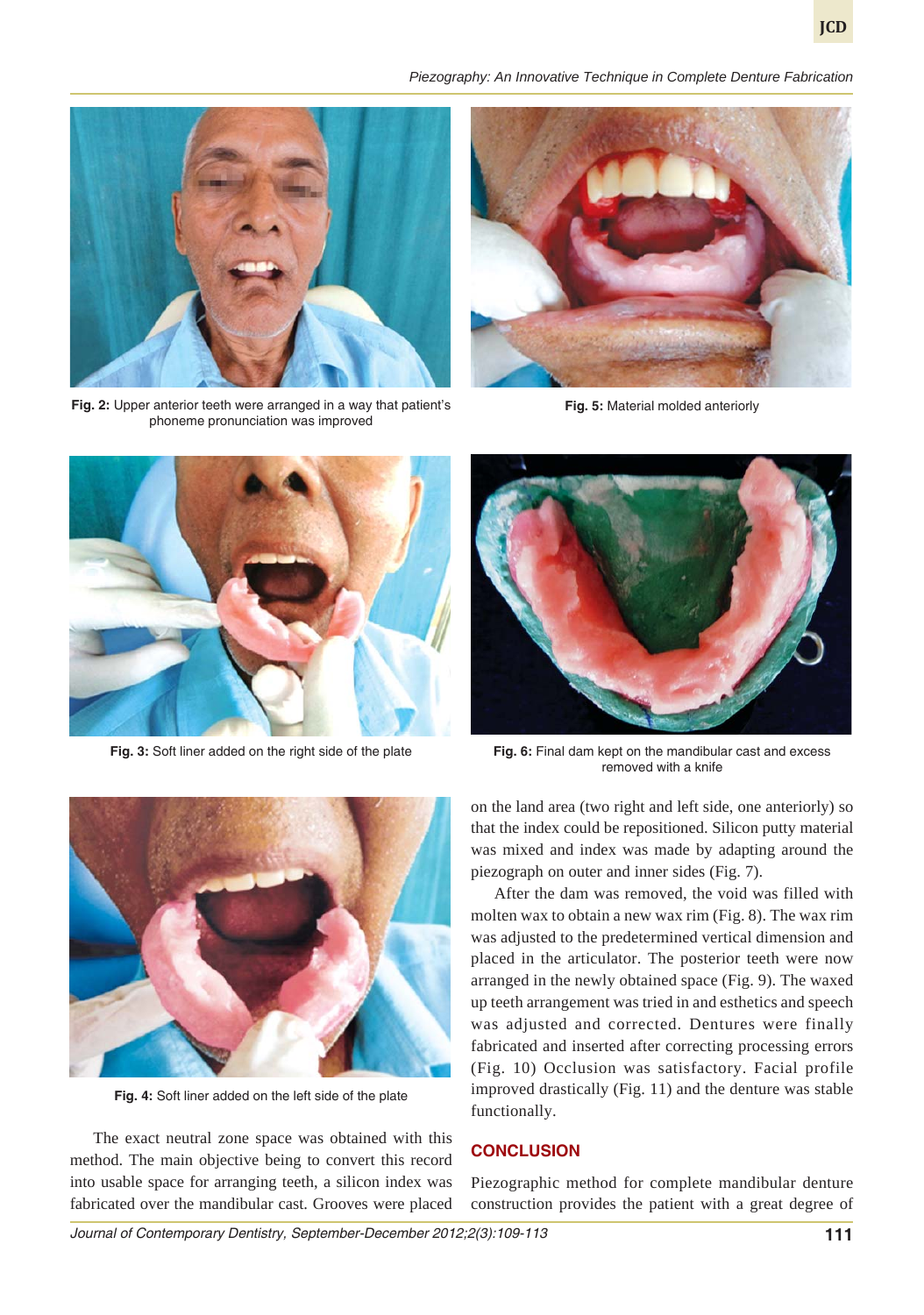



**Fig. 2:** Upper anterior teeth were arranged in a way that patient's phoneme pronunciation was improved



**Fig. 5:** Material molded anteriorly



**Fig. 3:** Soft liner added on the right side of the plate



**Fig. 6:** Final dam kept on the mandibular cast and excess removed with a knife



**Fig. 4:** Soft liner added on the left side of the plate

The exact neutral zone space was obtained with this method. The main objective being to convert this record into usable space for arranging teeth, a silicon index was fabricated over the mandibular cast. Grooves were placed

on the land area (two right and left side, one anteriorly) so that the index could be repositioned. Silicon putty material was mixed and index was made by adapting around the piezograph on outer and inner sides (Fig. 7).

After the dam was removed, the void was filled with molten wax to obtain a new wax rim (Fig. 8). The wax rim was adjusted to the predetermined vertical dimension and placed in the articulator. The posterior teeth were now arranged in the newly obtained space (Fig. 9). The waxed up teeth arrangement was tried in and esthetics and speech was adjusted and corrected. Dentures were finally fabricated and inserted after correcting processing errors (Fig. 10) Occlusion was satisfactory. Facial profile improved drastically (Fig. 11) and the denture was stable functionally.

# **CONCLUSION**

Piezographic method for complete mandibular denture construction provides the patient with a great degree of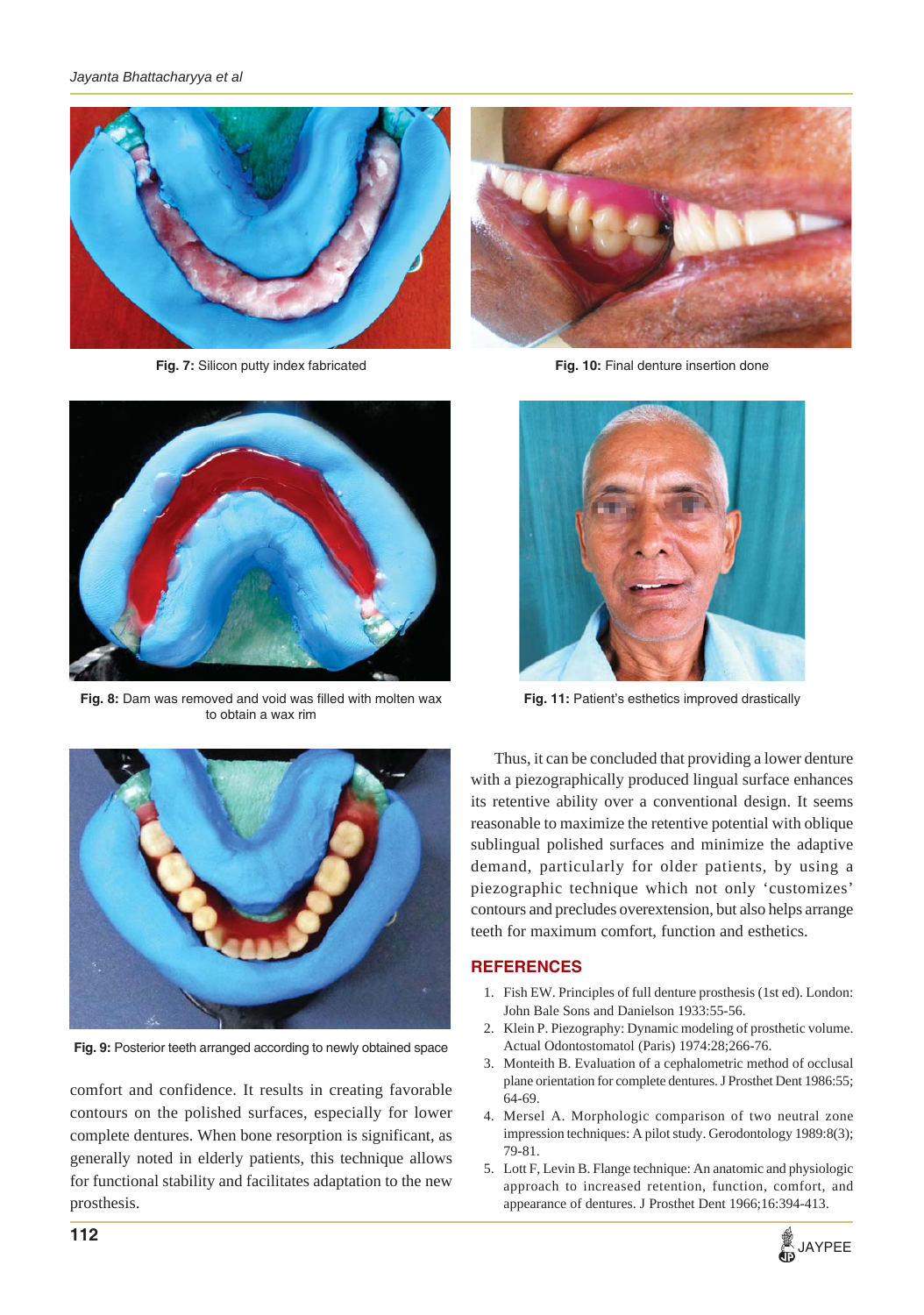

**Fig. 7:** Silicon putty index fabricated **Fig. 10:** Final denture insertion done



**Fig. 8:** Dam was removed and void was filled with molten wax to obtain a wax rim





**Fig. 11:** Patient's esthetics improved drastically



**Fig. 9:** Posterior teeth arranged according to newly obtained space

comfort and confidence. It results in creating favorable contours on the polished surfaces, especially for lower complete dentures. When bone resorption is significant, as generally noted in elderly patients, this technique allows for functional stability and facilitates adaptation to the new prosthesis.

Thus, it can be concluded that providing a lower denture with a piezographically produced lingual surface enhances its retentive ability over a conventional design. It seems reasonable to maximize the retentive potential with oblique sublingual polished surfaces and minimize the adaptive demand, particularly for older patients, by using a piezographic technique which not only 'customizes' contours and precludes overextension, but also helps arrange teeth for maximum comfort, function and esthetics.

## **REFERENCES**

- 1. Fish EW. Principles of full denture prosthesis (1st ed). London: John Bale Sons and Danielson 1933:55-56.
- 2. Klein P. Piezography: Dynamic modeling of prosthetic volume. Actual Odontostomatol (Paris) 1974:28;266-76.
- 3. Monteith B. Evaluation of a cephalometric method of occlusal plane orientation for complete dentures. J Prosthet Dent 1986:55; 64-69.
- 4. Mersel A. Morphologic comparison of two neutral zone impression techniques: A pilot study. Gerodontology 1989:8(3); 79-81.
- 5. Lott F, Levin B. Flange technique: An anatomic and physiologic approach to increased retention, function, comfort, and appearance of dentures. J Prosthet Dent 1966;16:394-413.